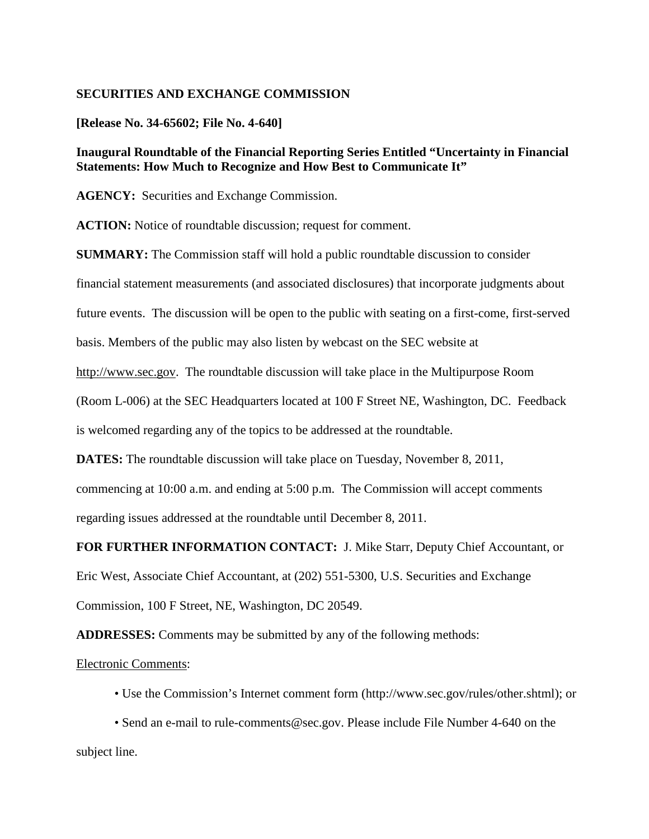## **SECURITIES AND EXCHANGE COMMISSION**

## **[Release No. 34-65602; File No. 4-640]**

## **Inaugural Roundtable of the Financial Reporting Series Entitled "Uncertainty in Financial Statements: How Much to Recognize and How Best to Communicate It"**

**AGENCY:** Securities and Exchange Commission.

**ACTION:** Notice of roundtable discussion; request for comment.

**SUMMARY:** The Commission staff will hold a public roundtable discussion to consider

financial statement measurements (and associated disclosures) that incorporate judgments about

future events. The discussion will be open to the public with seating on a first-come, first-served

basis. Members of the public may also listen by webcast on the SEC website at

[http://www.sec.gov.](http://www.sec.gov/) The roundtable discussion will take place in the Multipurpose Room

(Room L-006) at the SEC Headquarters located at 100 F Street NE, Washington, DC. Feedback

is welcomed regarding any of the topics to be addressed at the roundtable.

**DATES:** The roundtable discussion will take place on Tuesday, November 8, 2011,

commencing at 10:00 a.m. and ending at 5:00 p.m. The Commission will accept comments

regarding issues addressed at the roundtable until December 8, 2011.

**FOR FURTHER INFORMATION CONTACT:** J. Mike Starr, Deputy Chief Accountant, or

Eric West, Associate Chief Accountant, at (202) 551-5300, U.S. Securities and Exchange

Commission, 100 F Street, NE, Washington, DC 20549.

**ADDRESSES:** Comments may be submitted by any of the following methods:

## Electronic Comments:

• Use the Commission's Internet comment form (http://www.sec.gov/rules/other.shtml); or

• Send an e-mail to rule-comments@sec.gov. Please include File Number 4-640 on the subject line.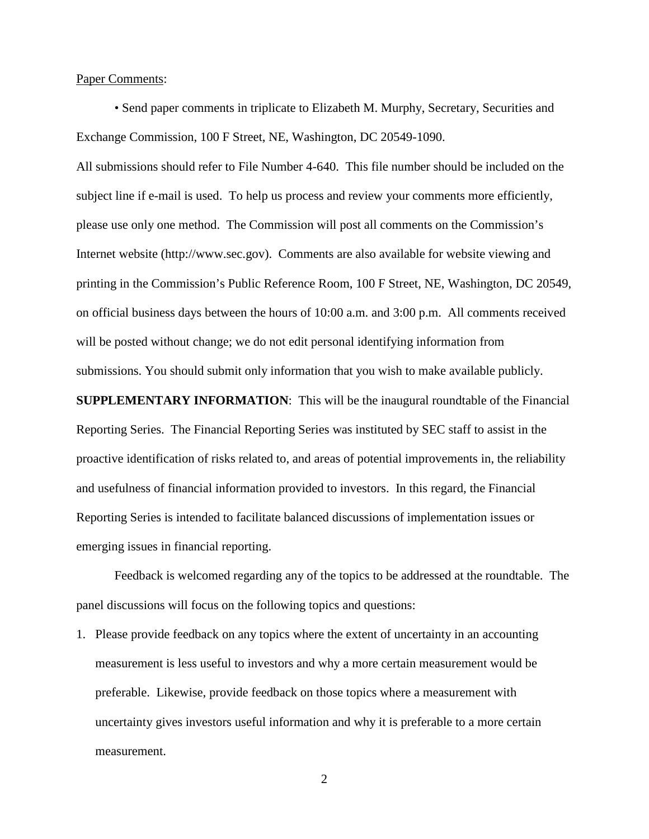Paper Comments:

• Send paper comments in triplicate to Elizabeth M. Murphy, Secretary, Securities and Exchange Commission, 100 F Street, NE, Washington, DC 20549-1090.

All submissions should refer to File Number 4-640. This file number should be included on the subject line if e-mail is used. To help us process and review your comments more efficiently, please use only one method. The Commission will post all comments on the Commission's Internet website (http://www.sec.gov). Comments are also available for website viewing and printing in the Commission's Public Reference Room, 100 F Street, NE, Washington, DC 20549, on official business days between the hours of 10:00 a.m. and 3:00 p.m. All comments received will be posted without change; we do not edit personal identifying information from submissions. You should submit only information that you wish to make available publicly.

**SUPPLEMENTARY INFORMATION**: This will be the inaugural roundtable of the Financial Reporting Series. The Financial Reporting Series was instituted by SEC staff to assist in the proactive identification of risks related to, and areas of potential improvements in, the reliability and usefulness of financial information provided to investors. In this regard, the Financial Reporting Series is intended to facilitate balanced discussions of implementation issues or emerging issues in financial reporting.

Feedback is welcomed regarding any of the topics to be addressed at the roundtable. The panel discussions will focus on the following topics and questions:

1. Please provide feedback on any topics where the extent of uncertainty in an accounting measurement is less useful to investors and why a more certain measurement would be preferable. Likewise, provide feedback on those topics where a measurement with uncertainty gives investors useful information and why it is preferable to a more certain measurement.

2